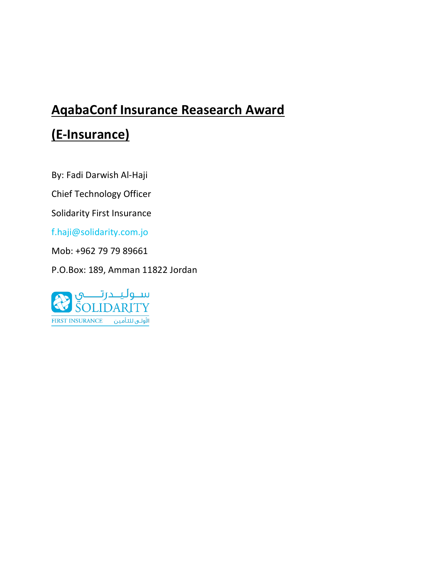# **AqabaConf Insurance Reasearch Award (E-Insurance)**

By: Fadi Darwish Al-Haji

Chief Technology Officer

Solidarity First Insurance

[f.haji@solidarity.com.jo](mailto:f.haji@solidarity.com.jo)

Mob: +962 79 79 89661

P.O.Box: 189, Amman 11822 Jordan

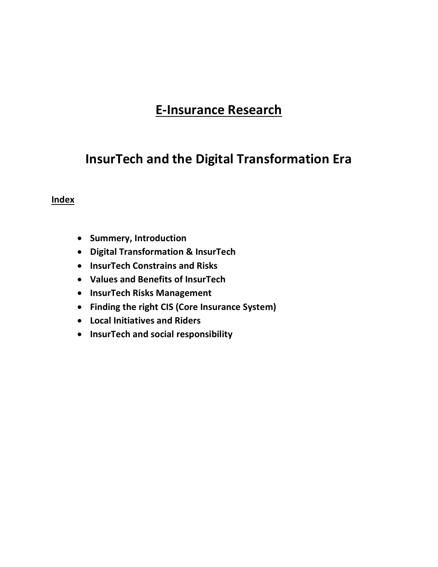# **E-Insurance Research**

# **InsurTech and the Digital Transformation Era**

#### **Index**

- **•** Summery, Introduction
- **Digital Transformation & InsurTech**
- **InsurTech Constrains and Risks**
- **Values and Benefits of InsurTech**
- **InsurTech Risks Management**
- **Finding the right CIS (Core Insurance System)**
- **Local Initiatives and Riders**
- **InsurTech and social responsibility**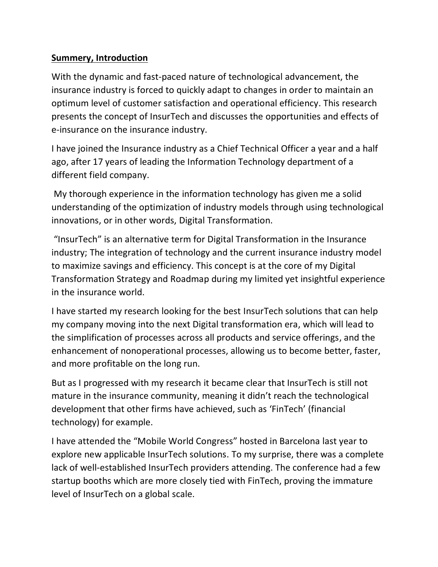## **Summery, Introduction**

With the dynamic and fast-paced nature of technological advancement, the insurance industry is forced to quickly adapt to changes in order to maintain an optimum level of customer satisfaction and operational efficiency. This research presents the concept of InsurTech and discusses the opportunities and effects of e-insurance on the insurance industry.

I have joined the Insurance industry as a Chief Technical Officer a year and a half ago, after 17 years of leading the Information Technology department of a different field company.

My thorough experience in the information technology has given me a solid understanding of the optimization of industry models through using technological innovations, or in other words, Digital Transformation.

"InsurTech" is an alternative term for Digital Transformation in the Insurance industry; The integration of technology and the current insurance industry model to maximize savings and efficiency. This concept is at the core of my Digital Transformation Strategy and Roadmap during my limited yet insightful experience in the insurance world.

I have started my research looking for the best InsurTech solutions that can help my company moving into the next Digital transformation era, which will lead to the simplification of processes across all products and service offerings, and the enhancement of nonoperational processes, allowing us to become better, faster, and more profitable on the long run.

But as I progressed with my research it became clear that InsurTech is still not mature in the insurance community, meaning it didn't reach the technological development that other firms have achieved, such as 'FinTech' (financial technology) for example.

I have attended the "Mobile World Congress" hosted in Barcelona last year to explore new applicable InsurTech solutions. To my surprise, there was a complete lack of well-established InsurTech providers attending. The conference had a few startup booths which are more closely tied with FinTech, proving the immature level of InsurTech on a global scale.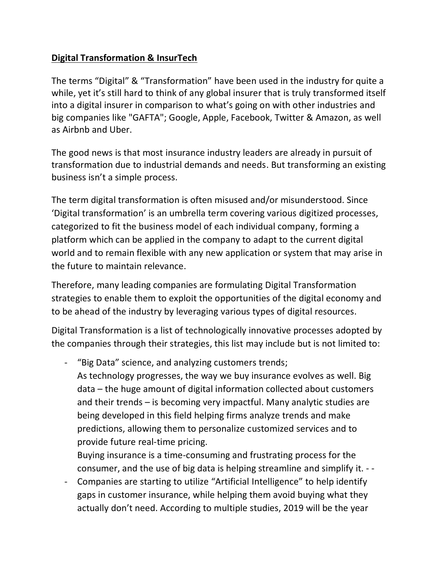# **Digital Transformation & InsurTech**

The terms "Digital" & "Transformation" have been used in the industry for quite a while, yet it's still hard to think of any global insurer that is truly transformed itself into a digital insurer in comparison to what's going on with other industries and big companies like "GAFTA"; Google, Apple, Facebook, Twitter & Amazon, as well as Airbnb and Uber.

The good news is that most insurance industry leaders are already in pursuit of transformation due to industrial demands and needs. But transforming an existing business isn't a simple process.

The term digital transformation is often misused and/or misunderstood. Since 'Digital transformation' is an umbrella term covering various digitized processes, categorized to fit the business model of each individual company, forming a platform which can be applied in the company to adapt to the current digital world and to remain flexible with any new application or system that may arise in the future to maintain relevance.

Therefore, many leading companies are formulating Digital Transformation strategies to enable them to exploit the opportunities of the digital economy and to be ahead of the industry by leveraging various types of digital resources.

Digital Transformation is a list of technologically innovative processes adopted by the companies through their strategies, this list may include but is not limited to:

- "Big Data" science, and analyzing customers trends;

As technology progresses, the way we buy insurance evolves as well. Big data – the huge amount of digital information collected about customers and their trends – is becoming very impactful. Many analytic studies are being developed in this field helping firms analyze trends and make predictions, allowing them to personalize customized services and to provide future real-time pricing.

Buying insurance is a time-consuming and frustrating process for the consumer, and the use of big data is helping streamline and simplify it. - -

- Companies are starting to utilize "Artificial Intelligence" to help identify gaps in customer insurance, while helping them avoid buying what they actually don't need. According to multiple studies, 2019 will be the year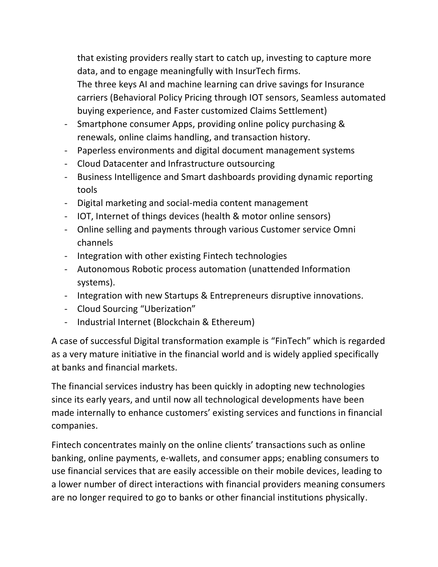that existing providers really start to catch up, investing to capture more data, and to engage meaningfully with InsurTech firms.

The three keys AI and machine learning can drive savings for Insurance carriers (Behavioral Policy Pricing through IOT sensors, Seamless automated buying experience, and Faster customized Claims Settlement)

- Smartphone consumer Apps, providing online policy purchasing & renewals, online claims handling, and transaction history.
- Paperless environments and digital document management systems
- Cloud Datacenter and Infrastructure outsourcing
- Business Intelligence and Smart dashboards providing dynamic reporting tools
- Digital marketing and social-media content management
- IOT, Internet of things devices (health & motor online sensors)
- Online selling and payments through various Customer service Omni channels
- Integration with other existing Fintech technologies
- Autonomous Robotic process automation (unattended Information systems).
- Integration with new Startups & Entrepreneurs disruptive innovations.
- Cloud Sourcing "Uberization"
- Industrial Internet (Blockchain & Ethereum)

A case of successful Digital transformation example is "FinTech" which is regarded as a very mature initiative in the financial world and is widely applied specifically at banks and financial markets.

The financial services industry has been quickly in adopting new technologies since its early years, and until now all technological developments have been made internally to enhance customers' existing services and functions in financial companies.

Fintech concentrates mainly on the online clients' transactions such as online banking, online payments, e-wallets, and consumer apps; enabling consumers to use financial services that are easily accessible on their mobile devices, leading to a lower number of direct interactions with financial providers meaning consumers are no longer required to go to banks or other financial institutions physically.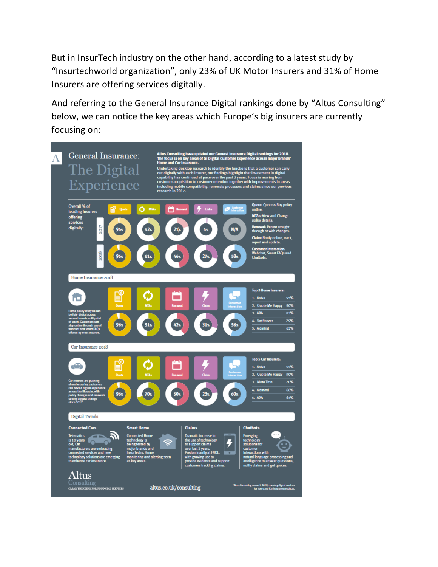But in InsurTech industry on the other hand, according to a latest study by "Insurtechworld organization", only 23% of UK Motor Insurers and 31% of Home Insurers are offering services digitally.

And referring to the General Insurance Digital rankings done by "Altus Consulting" below, we can notice the key areas which Europe's big insurers are currently focusing on:

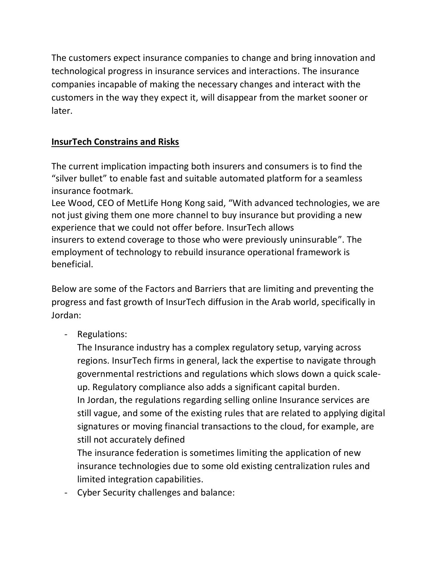The customers expect insurance companies to change and bring innovation and technological progress in insurance services and interactions. The insurance companies incapable of making the necessary changes and interact with the customers in the way they expect it, will disappear from the market sooner or later.

# **InsurTech Constrains and Risks**

The current implication impacting both insurers and consumers is to find the "silver bullet" to enable fast and suitable automated platform for a seamless insurance footmark.

Lee Wood, CEO of MetLife Hong Kong said, "With advanced technologies, we are not just giving them one more channel to buy insurance but providing a new experience that we could not offer before. InsurTech allows insurers to extend coverage to those who were previously uninsurable". The employment of technology to rebuild insurance operational framework is beneficial.

Below are some of the Factors and Barriers that are limiting and preventing the progress and fast growth of InsurTech diffusion in the Arab world, specifically in Jordan:

- Regulations:

The Insurance industry has a complex regulatory setup, varying across regions. InsurTech firms in general, lack the expertise to navigate through governmental restrictions and regulations which slows down a quick scaleup. Regulatory compliance also adds a significant capital burden. In Jordan, the regulations regarding selling online Insurance services are still vague, and some of the existing rules that are related to applying digital signatures or moving financial transactions to the cloud, for example, are still not accurately defined

The insurance federation is sometimes limiting the application of new insurance technologies due to some old existing centralization rules and limited integration capabilities.

- Cyber Security challenges and balance: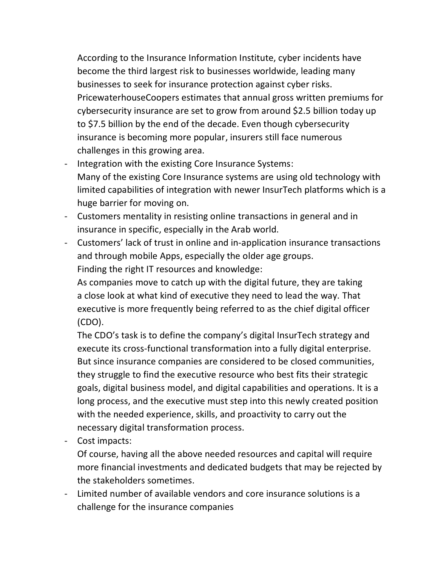According to the Insurance Information Institute, cyber incidents have become the third largest risk to businesses worldwide, leading many businesses to seek for insurance protection against cyber risks. PricewaterhouseCoopers estimates that annual gross written premiums for cybersecurity insurance are set to grow from around \$2.5 billion today up to \$7.5 billion by the end of the decade. Even though cybersecurity insurance is becoming more popular, insurers still face numerous challenges in this growing area.

- Integration with the existing Core Insurance Systems: Many of the existing Core Insurance systems are using old technology with limited capabilities of integration with newer InsurTech platforms which is a huge barrier for moving on.
- Customers mentality in resisting online transactions in general and in insurance in specific, especially in the Arab world.
- Customers' lack of trust in online and in-application insurance transactions and through mobile Apps, especially the older age groups. Finding the right IT resources and knowledge:

As companies move to catch up with the digital future, they are taking a close look at what kind of executive they need to lead the way. That executive is more frequently being referred to as the chief digital officer (CDO).

The CDO's task is to define the company's digital InsurTech strategy and execute its cross-functional transformation into a fully digital enterprise. But since insurance companies are considered to be closed communities, they struggle to find the executive resource who best fits their strategic goals, digital business model, and digital capabilities and operations. It is a long process, and the executive must step into this newly created position with the needed experience, skills, and proactivity to carry out the necessary digital transformation process.

- Cost impacts:

Of course, having all the above needed resources and capital will require more financial investments and dedicated budgets that may be rejected by the stakeholders sometimes.

- Limited number of available vendors and core insurance solutions is a challenge for the insurance companies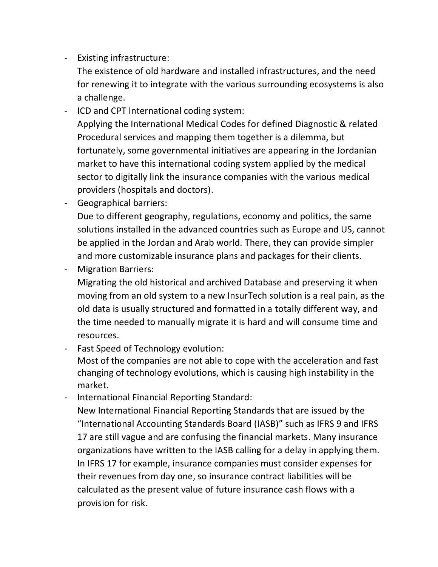- Existing infrastructure:

The existence of old hardware and installed infrastructures, and the need for renewing it to integrate with the various surrounding ecosystems is also a challenge.

- ICD and CPT International coding system: Applying the International Medical Codes for defined Diagnostic & related Procedural services and mapping them together is a dilemma, but fortunately, some governmental initiatives are appearing in the Jordanian market to have this international coding system applied by the medical sector to digitally link the insurance companies with the various medical providers (hospitals and doctors).

- Geographical barriers:

Due to different geography, regulations, economy and politics, the same solutions installed in the advanced countries such as Europe and US, cannot be applied in the Jordan and Arab world. There, they can provide simpler and more customizable insurance plans and packages for their clients.

- Migration Barriers:

Migrating the old historical and archived Database and preserving it when moving from an old system to a new InsurTech solution is a real pain, as the old data is usually structured and formatted in a totally different way, and the time needed to manually migrate it is hard and will consume time and resources.

- Fast Speed of Technology evolution:

Most of the companies are not able to cope with the acceleration and fast changing of technology evolutions, which is causing high instability in the market.

- International Financial Reporting Standard:

New International Financial Reporting Standards that are issued by the "International Accounting Standards Board (IASB)" such as IFRS 9 and IFRS 17 are still vague and are confusing the financial markets. Many insurance organizations have written to the IASB calling for a delay in applying them. In IFRS 17 for example, insurance companies must consider expenses for their revenues from day one, so insurance contract liabilities will be calculated as the present value of future insurance cash flows with a provision for risk.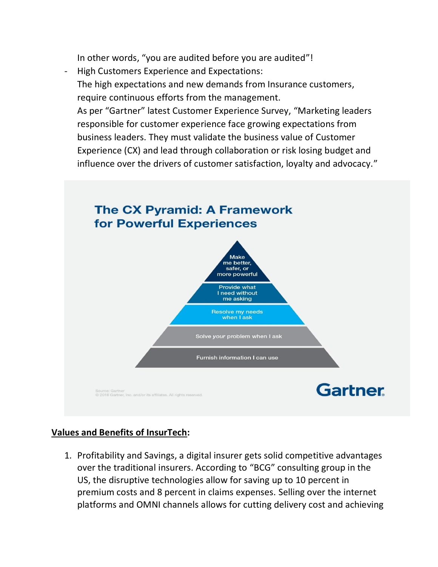In other words, "you are audited before you are audited"!

- High Customers Experience and Expectations: The high expectations and new demands from Insurance customers, require continuous efforts from the management. As per "Gartner" latest Customer Experience Survey, "Marketing leaders responsible for customer experience face growing expectations from business leaders. They must validate the business value of Customer Experience (CX) and lead through collaboration or risk losing budget and





## **Values and Benefits of InsurTech:**

1. Profitability and Savings, a digital insurer gets solid competitive advantages over the traditional insurers. [According to](https://www.bcg.com/industries/insurance/insights.aspx) "BCG" consulting group in the US, the disruptive technologies allow for saving up to 10 percent in premium costs and 8 percent in claims expenses. Selling over the internet platforms and OMNI channels allows for cutting delivery cost and achieving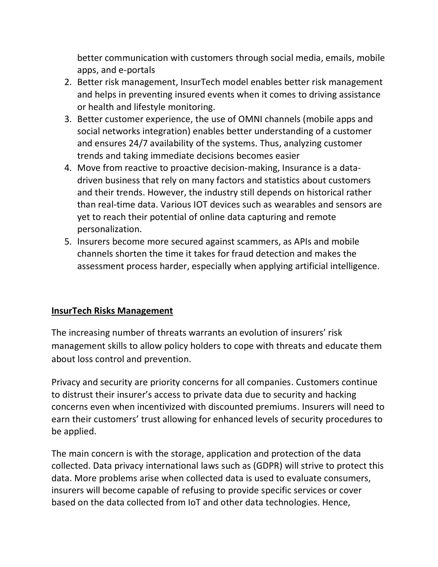better communication with customers through social media, emails, mobile apps, and e-portals

- 2. Better risk management, InsurTech model enables better risk management and helps in preventing insured events when it comes to driving assistance or health and lifestyle monitoring.
- 3. Better customer experience, the use of OMNI channels (mobile apps and social networks integration) enables better understanding of a customer and ensures 24/7 availability of the systems. Thus, analyzing customer trends and taking immediate decisions becomes easier
- 4. Move from reactive to proactive decision-making, Insurance is a datadriven business that rely on many factors and statistics about customers and their trends. However, the industry still depends on historical rather than real-time data. Various IOT devices such as wearables and sensors are yet to reach their potential of online data capturing and remote personalization.
- 5. Insurers become more secured against scammers, as APIs and mobile channels shorten the time it takes for fraud detection and makes the assessment process harder, especially when applying artificial intelligence.

#### **InsurTech Risks Management**

The increasing number of threats warrants an evolution of insurers' risk management skills to allow policy holders to cope with threats and educate them about loss control and prevention.

Privacy and security are priority concerns for all companies. Customers continue to distrust their insurer's access to private data due to security and hacking concerns even when incentivized with discounted premiums. Insurers will need to earn their customers' trust allowing for enhanced levels of security procedures to be applied.

The main concern is with the storage, application and protection of the data collected. Data privacy international laws such as (GDPR) will strive to protect this data. More problems arise when collected data is used to evaluate consumers, insurers will become capable of refusing to provide specific services or cover based on the data collected from IoT and other data technologies. Hence,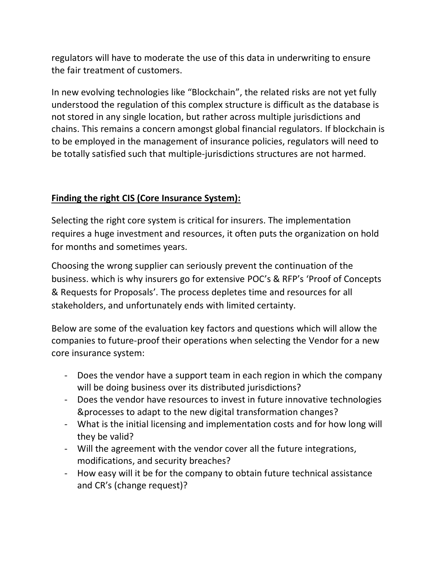regulators will have to moderate the use of this data in underwriting to ensure the fair treatment of customers.

In new evolving technologies like "Blockchain", the related risks are not yet fully understood the regulation of this complex structure is difficult as the database is not stored in any single location, but rather across multiple jurisdictions and chains. This remains a concern amongst global financial regulators. If blockchain is to be employed in the management of insurance policies, regulators will need to be totally satisfied such that multiple-jurisdictions structures are not harmed.

## **Finding the right CIS (Core Insurance System):**

Selecting the right core system is critical for insurers. The implementation requires a huge investment and resources, it often puts the organization on hold for months and sometimes years.

Choosing the wrong supplier can seriously prevent the continuation of the business. which is why insurers go for extensive POC's & RFP's 'Proof of Concepts & Requests for Proposals'. The process depletes time and resources for all stakeholders, and unfortunately ends with limited certainty.

Below are some of the evaluation key factors and questions which will allow the companies to future-proof their operations when selecting the Vendor for a new core insurance system:

- Does the vendor have a support team in each region in which the company will be doing business over its distributed jurisdictions?
- Does the vendor have resources to invest in future innovative technologies &processes to adapt to the new digital transformation changes?
- What is the initial licensing and implementation costs and for how long will they be valid?
- Will the agreement with the vendor cover all the future integrations, modifications, and security breaches?
- How easy will it be for the company to obtain future technical assistance and CR's (change request)?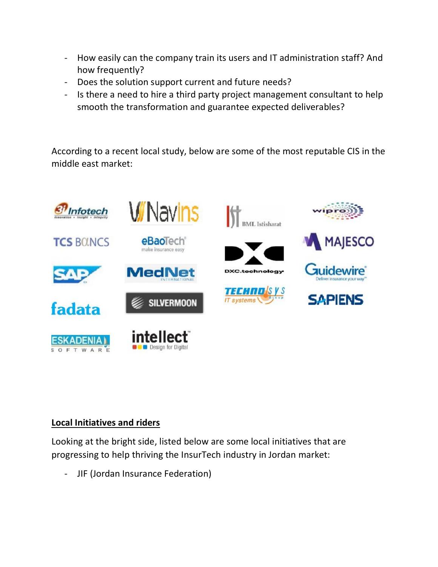- How easily can the company train its users and IT administration staff? And how frequently?
- Does the solution support current and future needs?
- Is there a need to hire a third party project management consultant to help smooth the transformation and guarantee expected deliverables?

According to a recent local study, below are some of the most reputable CIS in the middle east market:



#### **Local Initiatives and riders**

Looking at the bright side, listed below are some local initiatives that are progressing to help thriving the InsurTech industry in Jordan market:

- JIF (Jordan Insurance Federation)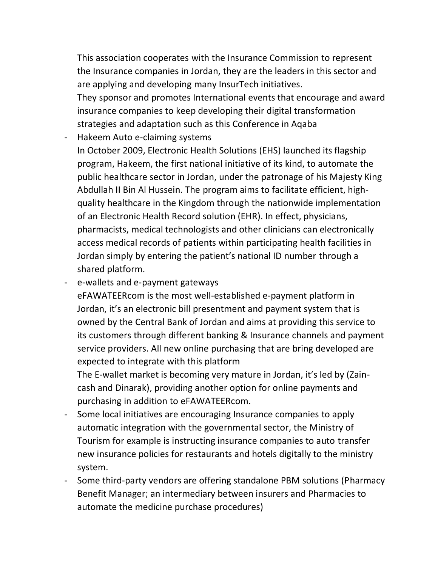This association cooperates with the Insurance Commission to represent the Insurance companies in Jordan, they are the leaders in this sector and are applying and developing many InsurTech initiatives. They sponsor and promotes International events that encourage and award

insurance companies to keep developing their digital transformation strategies and adaptation such as this Conference in Aqaba

- Hakeem Auto e-claiming systems In October 2009, Electronic Health Solutions (EHS) launched its flagship program, Hakeem, the first national initiative of its kind, to automate the public healthcare sector in Jordan, under the patronage of his Majesty King Abdullah II Bin Al Hussein. The program aims to facilitate efficient, highquality healthcare in the Kingdom through the nationwide implementation of an Electronic Health Record solution (EHR). In effect, physicians, pharmacists, medical technologists and other clinicians can electronically access medical records of patients within participating health facilities in Jordan simply by entering the patient's national ID number through a shared platform.

- e-wallets and e-payment gateways

eFAWATEERcom is the most well-established e-payment platform in Jordan, it's an electronic bill presentment and payment system that is owned by the Central Bank of Jordan and aims at providing this service to its customers through different banking & Insurance channels and payment service providers. All new online purchasing that are bring developed are expected to integrate with this platform

The E-wallet market is becoming very mature in Jordan, it's led by (Zaincash and Dinarak), providing another option for online payments and purchasing in addition to eFAWATEERcom.

- Some local initiatives are encouraging Insurance companies to apply automatic integration with the governmental sector, the Ministry of Tourism for example is instructing insurance companies to auto transfer new insurance policies for restaurants and hotels digitally to the ministry system.
- Some third-party vendors are offering standalone PBM solutions (Pharmacy Benefit Manager; an intermediary between insurers and Pharmacies to automate the medicine purchase procedures)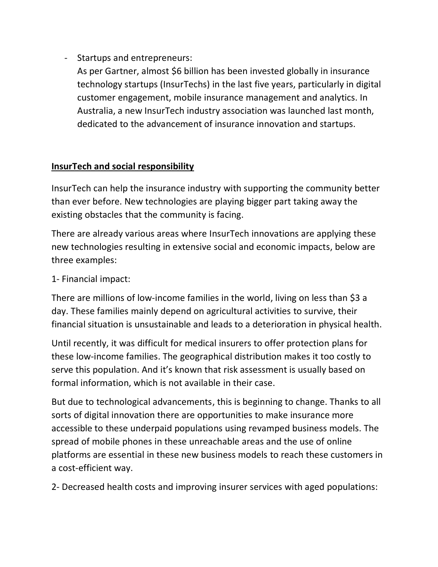- Startups and entrepreneurs:
	- As per Gartner, almost \$6 billion has been invested globally in insurance technology startups (InsurTechs) in the last five years, particularly in digital customer engagement, mobile insurance management and analytics. In Australia, a new InsurTech industry association was launched last month, dedicated to the advancement of insurance innovation and startups.

#### **InsurTech and social responsibility**

InsurTech can help the insurance industry with supporting the community better than ever before. New technologies are playing bigger part taking away the existing obstacles that the community is facing.

There are already various areas where InsurTech innovations are applying these new technologies resulting in extensive social and economic impacts, below are three examples:

1- Financial impact:

There are millions of low-income families in the world, living on less than \$3 a day. These families mainly depend on agricultural activities to survive, their financial situation is unsustainable and leads to a deterioration in physical health.

Until recently, it was difficult for medical insurers to offer protection plans for these low-income families. The geographical distribution makes it too costly to serve this population. And it's known that risk assessment is usually based on formal information, which is not available in their case.

But due to technological advancements, this is beginning to change. Thanks to all sorts of digital innovation there are opportunities to make insurance more accessible to these underpaid populations using revamped business models. The spread of mobile phones in these unreachable areas and the use of online platforms are essential in these new business models to reach these customers in a cost-efficient way.

2- Decreased health costs and improving insurer services with aged populations: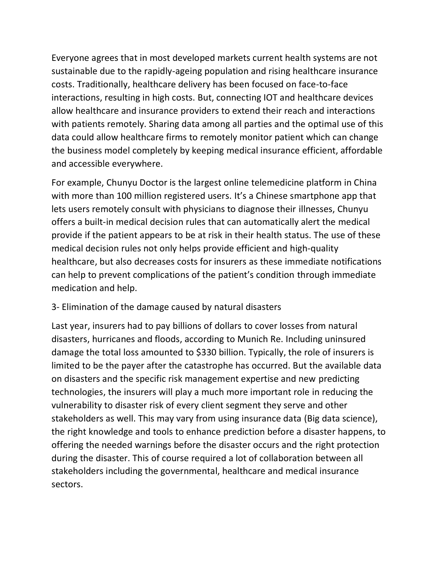Everyone agrees that in most developed markets current health systems are not sustainable due to the rapidly-ageing population and rising healthcare insurance costs. Traditionally, healthcare delivery has been focused on face-to-face interactions, resulting in high costs. But, connecting IOT and healthcare devices allow healthcare and insurance providers to extend their reach and interactions with patients remotely. Sharing data among all parties and the optimal use of this data could allow healthcare firms to remotely monitor patient which can change the business model completely by keeping medical insurance efficient, affordable and accessible everywhere.

For example, Chunyu Doctor is the largest online telemedicine platform in China with more than 100 million registered users. It's a Chinese smartphone app that lets users remotely consult with physicians to diagnose their illnesses, Chunyu offers a built-in medical decision rules that can automatically alert the medical provide if the patient appears to be at risk in their health status. The use of these medical decision rules not only helps provide efficient and high-quality healthcare, but also decreases costs for insurers as these immediate notifications can help to prevent complications of the patient's condition through immediate medication and help.

#### 3- Elimination of the damage caused by natural disasters

Last year, insurers had to pay billions of dollars to cover losses from natural disasters, hurricanes and floods, according to Munich Re. Including uninsured damage the total loss amounted to \$330 billion. Typically, the role of insurers is limited to be the payer after the catastrophe has occurred. But the available data on disasters and the specific risk management expertise and new predicting technologies, the insurers will play a much more important role in reducing the vulnerability to disaster risk of every client segment they serve and other stakeholders as well. This may vary from using insurance data (Big data science), the right knowledge and tools to enhance prediction before a disaster happens, to offering the needed warnings before the disaster occurs and the right protection during the disaster. This of course required a lot of collaboration between all stakeholders including the governmental, healthcare and medical insurance sectors.